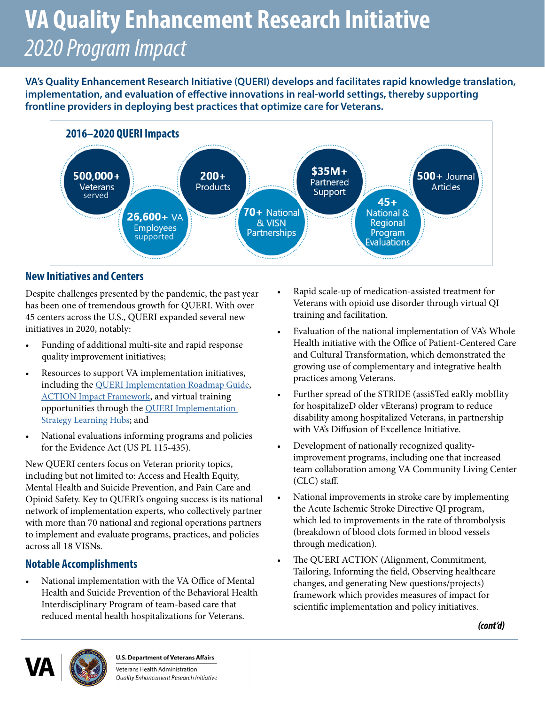# *2020 Program Impact*  **VA Quality Enhancement Research Initiative**

**VA's Quality Enhancement Research Initiative (QUERI) develops and facilitates rapid knowledge translation, implementation, and evaluation of efective innovations in real-world settings, thereby supporting frontline providers in deploying best practices that optimize care for Veterans.** 



#### **New Initiatives and Centers**

Despite challenges presented by the pandemic, the past year has been one of tremendous growth for QUERI. With over 45 centers across the U.S., QUERI expanded several new initiatives in 2020, notably:

- Funding of additional multi-site and rapid response quality improvement initiatives;
- Resources to support VA implementation initiatives, including the QU[ERI Implementation Roadmap Guide,](https://www.queri.research.va.gov/tools/roadmap/default.cfm) [ACTION Impact Framework,](https://pubmed.ncbi.nlm.nih.gov/32875498/) and virtual training opportunities through the [QUERI Implementation](https://www.queri.research.va.gov/training_hubs/default.cfm)  [Strategy Learning Hubs;](https://www.queri.research.va.gov/training_hubs/default.cfm) and
- National evaluations informing programs and policies for the Evidence Act (US PL 115-435).

New QUERI centers focus on Veteran priority topics, including but not limited to: Access and Health Equity, Mental Health and Suicide Prevention, and Pain Care and Opioid Safety. Key to QUERI's ongoing success is its national network of implementation experts, who collectively partner with more than 70 national and regional operations partners to implement and evaluate programs, practices, and policies across all 18 VISNs.

#### **Notable Accomplishments**

• National implementation with the VA Office of Mental Health and Suicide Prevention of the Behavioral Health Interdisciplinary Program of team-based care that reduced mental health hospitalizations for Veterans.

- Rapid scale-up of medication-assisted treatment for Veterans with opioid use disorder through virtual QI training and facilitation.
- Evaluation of the national implementation of VA's Whole Health initiative with the Office of Patient-Centered Care and Cultural Transformation, which demonstrated the growing use of complementary and integrative health practices among Veterans.
- Further spread of the STRIDE (assiSTed eaRly mobIlity for hospitalizeD older vEterans) program to reduce disability among hospitalized Veterans, in partnership with VA's Difusion of Excellence Initiative.
- Development of nationally recognized qualityimprovement programs, including one that increased team collaboration among VA Community Living Center (CLC) staf.
- National improvements in stroke care by implementing the Acute Ischemic Stroke Directive QI program, which led to improvements in the rate of thrombolysis (breakdown of blood clots formed in blood vessels through medication).
- The QUERI ACTION (Alignment, Commitment, Tailoring, Informing the feld, Observing healthcare changes, and generating New questions/projects) framework which provides measures of impact for scientifc implementation and policy initiatives.